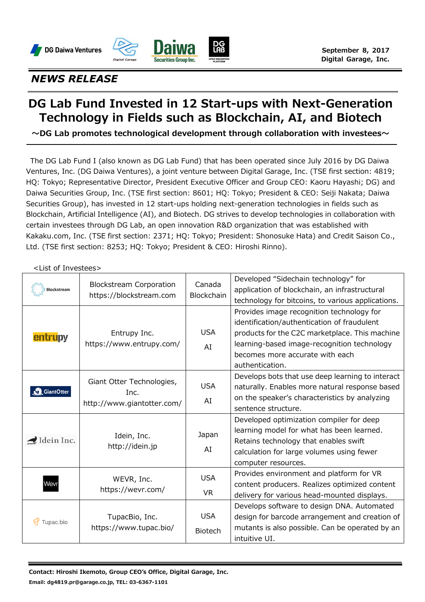





## *NEWS RELEASE*

## **DG Lab Fund Invested in 12 Start-ups with Next-Generation Technology in Fields such as Blockchain, AI, and Biotech**

**〜DG Lab promotes technological development through collaboration with investees〜**

The DG Lab Fund I (also known as DG Lab Fund) that has been operated since July 2016 by DG Daiwa Ventures, Inc. (DG Daiwa Ventures), a joint venture between Digital Garage, Inc. (TSE first section: 4819; HQ: Tokyo; Representative Director, President Executive Officer and Group CEO: Kaoru Hayashi; DG) and Daiwa Securities Group, Inc. (TSE first section: 8601; HQ: Tokyo; President & CEO: Seiji Nakata; Daiwa Securities Group), has invested in 12 start-ups holding next-generation technologies in fields such as Blockchain, Artificial Intelligence (AI), and Biotech. DG strives to develop technologies in collaboration with certain investees through DG Lab, an open innovation R&D organization that was established with Kakaku.com, Inc. (TSE first section: 2371; HQ: Tokyo; President: Shonosuke Hata) and Credit Saison Co., Ltd. (TSE first section: 8253; HQ: Tokyo; President & CEO: Hiroshi Rinno).

## <List of Investees>

| <b>Blockstream</b> | <b>Blockstream Corporation</b><br>https://blockstream.com       | Canada<br>Blockchain         | Developed "Sidechain technology" for<br>application of blockchain, an infrastructural<br>technology for bitcoins, to various applications.                                                                                                      |
|--------------------|-----------------------------------------------------------------|------------------------------|-------------------------------------------------------------------------------------------------------------------------------------------------------------------------------------------------------------------------------------------------|
| entrupy            | Entrupy Inc.<br>https://www.entrupy.com/                        | <b>USA</b><br>AI             | Provides image recognition technology for<br>identification/authentication of fraudulent<br>products for the C2C marketplace. This machine<br>learning-based image-recognition technology<br>becomes more accurate with each<br>authentication. |
| GiantOtter         | Giant Otter Technologies,<br>Inc.<br>http://www.giantotter.com/ | <b>USA</b><br>AI             | Develops bots that use deep learning to interact<br>naturally. Enables more natural response based<br>on the speaker's characteristics by analyzing<br>sentence structure.                                                                      |
| Idein Inc.         | Idein, Inc.<br>http://idein.jp                                  | Japan<br>AI                  | Developed optimization compiler for deep<br>learning model for what has been learned.<br>Retains technology that enables swift<br>calculation for large volumes using fewer<br>computer resources.                                              |
| Wevr               | WEVR, Inc.<br>https://wevr.com/                                 | <b>USA</b><br><b>VR</b>      | Provides environment and platform for VR<br>content producers. Realizes optimized content<br>delivery for various head-mounted displays.                                                                                                        |
| Tupac.bio          | TupacBio, Inc.<br>https://www.tupac.bio/                        | <b>USA</b><br><b>Biotech</b> | Develops software to design DNA. Automated<br>design for barcode arrangement and creation of<br>mutants is also possible. Can be operated by an<br>intuitive UI.                                                                                |